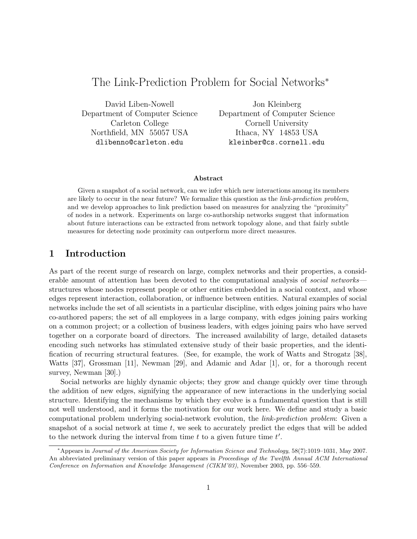# The Link-Prediction Problem for Social Networks<sup>∗</sup>

David Liben-Nowell Department of Computer Science Carleton College Northfield, MN 55057 USA dlibenno@carleton.edu

Jon Kleinberg Department of Computer Science Cornell University Ithaca, NY 14853 USA kleinber@cs.cornell.edu

#### Abstract

Given a snapshot of a social network, can we infer which new interactions among its members are likely to occur in the near future? We formalize this question as the link-prediction problem, and we develop approaches to link prediction based on measures for analyzing the "proximity" of nodes in a network. Experiments on large co-authorship networks suggest that information about future interactions can be extracted from network topology alone, and that fairly subtle measures for detecting node proximity can outperform more direct measures.

## 1 Introduction

As part of the recent surge of research on large, complex networks and their properties, a considerable amount of attention has been devoted to the computational analysis of social networks structures whose nodes represent people or other entities embedded in a social context, and whose edges represent interaction, collaboration, or influence between entities. Natural examples of social networks include the set of all scientists in a particular discipline, with edges joining pairs who have co-authored papers; the set of all employees in a large company, with edges joining pairs working on a common project; or a collection of business leaders, with edges joining pairs who have served together on a corporate board of directors. The increased availability of large, detailed datasets encoding such networks has stimulated extensive study of their basic properties, and the identification of recurring structural features. (See, for example, the work of Watts and Strogatz [38], Watts [37], Grossman [11], Newman [29], and Adamic and Adar [1], or, for a thorough recent survey, Newman [30].)

Social networks are highly dynamic objects; they grow and change quickly over time through the addition of new edges, signifying the appearance of new interactions in the underlying social structure. Identifying the mechanisms by which they evolve is a fundamental question that is still not well understood, and it forms the motivation for our work here. We define and study a basic computational problem underlying social-network evolution, the link-prediction problem: Given a snapshot of a social network at time  $t$ , we seek to accurately predict the edges that will be added to the network during the interval from time  $t$  to a given future time  $t'$ .

<sup>∗</sup>Appears in Journal of the American Society for Information Science and Technology, 58(7):1019–1031, May 2007. An abbreviated preliminary version of this paper appears in Proceedings of the Twelfth Annual ACM International Conference on Information and Knowledge Management (CIKM'03), November 2003, pp. 556–559.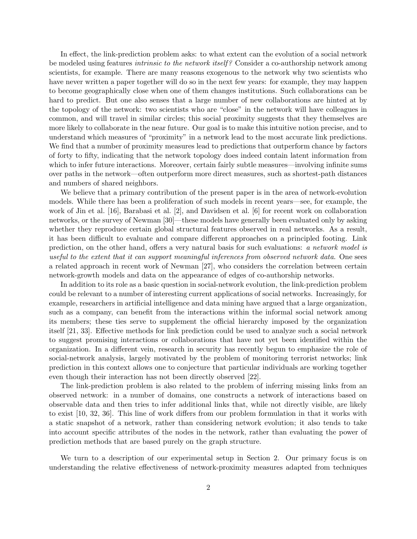In effect, the link-prediction problem asks: to what extent can the evolution of a social network be modeled using features *intrinsic to the network itself?* Consider a co-authorship network among scientists, for example. There are many reasons exogenous to the network why two scientists who have never written a paper together will do so in the next few years: for example, they may happen to become geographically close when one of them changes institutions. Such collaborations can be hard to predict. But one also senses that a large number of new collaborations are hinted at by the topology of the network: two scientists who are "close" in the network will have colleagues in common, and will travel in similar circles; this social proximity suggests that they themselves are more likely to collaborate in the near future. Our goal is to make this intuitive notion precise, and to understand which measures of "proximity" in a network lead to the most accurate link predictions. We find that a number of proximity measures lead to predictions that outperform chance by factors of forty to fifty, indicating that the network topology does indeed contain latent information from which to infer future interactions. Moreover, certain fairly subtle measures—involving infinite sums over paths in the network—often outperform more direct measures, such as shortest-path distances and numbers of shared neighbors.

We believe that a primary contribution of the present paper is in the area of network-evolution models. While there has been a proliferation of such models in recent years—see, for example, the work of Jin et al. [16], Barabasi et al. [2], and Davidsen et al. [6] for recent work on collaboration networks, or the survey of Newman [30]—these models have generally been evaluated only by asking whether they reproduce certain global structural features observed in real networks. As a result, it has been difficult to evaluate and compare different approaches on a principled footing. Link prediction, on the other hand, offers a very natural basis for such evaluations: a network model is useful to the extent that it can support meaningful inferences from observed network data. One sees a related approach in recent work of Newman [27], who considers the correlation between certain network-growth models and data on the appearance of edges of co-authorship networks.

In addition to its role as a basic question in social-network evolution, the link-prediction problem could be relevant to a number of interesting current applications of social networks. Increasingly, for example, researchers in artificial intelligence and data mining have argued that a large organization, such as a company, can benefit from the interactions within the informal social network among its members; these ties serve to supplement the official hierarchy imposed by the organization itself [21, 33]. Effective methods for link prediction could be used to analyze such a social network to suggest promising interactions or collaborations that have not yet been identified within the organization. In a different vein, research in security has recently begun to emphasize the role of social-network analysis, largely motivated by the problem of monitoring terrorist networks; link prediction in this context allows one to conjecture that particular individuals are working together even though their interaction has not been directly observed [22].

The link-prediction problem is also related to the problem of inferring missing links from an observed network: in a number of domains, one constructs a network of interactions based on observable data and then tries to infer additional links that, while not directly visible, are likely to exist [10, 32, 36]. This line of work differs from our problem formulation in that it works with a static snapshot of a network, rather than considering network evolution; it also tends to take into account specific attributes of the nodes in the network, rather than evaluating the power of prediction methods that are based purely on the graph structure.

We turn to a description of our experimental setup in Section 2. Our primary focus is on understanding the relative effectiveness of network-proximity measures adapted from techniques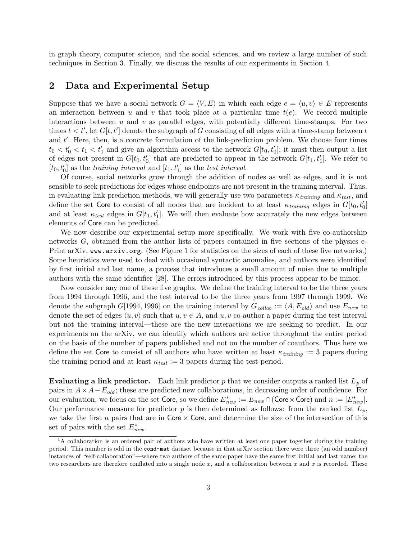in graph theory, computer science, and the social sciences, and we review a large number of such techniques in Section 3. Finally, we discuss the results of our experiments in Section 4.

## 2 Data and Experimental Setup

Suppose that we have a social network  $G = \langle V, E \rangle$  in which each edge  $e = \langle u, v \rangle \in E$  represents an interaction between u and v that took place at a particular time  $t(e)$ . We record multiple interactions between u and v as parallel edges, with potentially different time-stamps. For two times  $t < t'$ , let  $G[t, t']$  denote the subgraph of G consisting of all edges with a time-stamp between t and  $t'$ . Here, then, is a concrete formulation of the link-prediction problem. We choose four times  $t_0 < t'_0 < t_1 < t'_1$  and give an algorithm access to the network  $G[t_0, t'_0]$ ; it must then output a list of edges not present in  $G[t_0, t'_0]$  that are predicted to appear in the network  $G[t_1, t'_1]$ . We refer to  $[t_0, t'_0]$  as the training interval and  $[t_1, t'_1]$  as the test interval.

Of course, social networks grow through the addition of nodes as well as edges, and it is not sensible to seek predictions for edges whose endpoints are not present in the training interval. Thus, in evaluating link-prediction methods, we will generally use two parameters  $\kappa_{training}$  and  $\kappa_{test}$ , and define the set Core to consist of all nodes that are incident to at least  $\kappa_{training}$  edges in  $G[t_0, t'_0]$ and at least  $\kappa_{test}$  edges in  $G[t_1, t'_1]$ . We will then evaluate how accurately the new edges between elements of Core can be predicted.

We now describe our experimental setup more specifically. We work with five co-authorship networks G, obtained from the author lists of papers contained in five sections of the physics e-Print arXiv, www.arxiv.org. (See Figure 1 for statistics on the sizes of each of these five networks.) Some heuristics were used to deal with occasional syntactic anomalies, and authors were identified by first initial and last name, a process that introduces a small amount of noise due to multiple authors with the same identifier [28]. The errors introduced by this process appear to be minor.

Now consider any one of these five graphs. We define the training interval to be the three years from 1994 through 1996, and the test interval to be the three years from 1997 through 1999. We denote the subgraph G[1994, 1996] on the training interval by  $G_{collab} := \langle A, E_{old} \rangle$  and use  $E_{new}$  to denote the set of edges  $\langle u, v \rangle$  such that  $u, v \in A$ , and  $u, v$  co-author a paper during the test interval but not the training interval—these are the new interactions we are seeking to predict. In our experiments on the arXiv, we can identify which authors are active throughout the entire period on the basis of the number of papers published and not on the number of coauthors. Thus here we define the set Core to consist of all authors who have written at least  $\kappa_{training} := 3$  papers during the training period and at least  $\kappa_{test} := 3$  papers during the test period.

Evaluating a link predictor. Each link predictor p that we consider outputs a ranked list  $L_p$  of pairs in  $A \times A - E_{old}$ ; these are predicted new collaborations, in decreasing order of confidence. For our evaluation, we focus on the set Core, so we define  $E^*_{new} := E_{new} \cap (\text{Core} \times \text{Core})$  and  $n := |E^*_{new}|$ . Our performance measure for predictor p is then determined as follows: from the ranked list  $L_p$ , we take the first n pairs that are in Core  $\times$  Core, and determine the size of the intersection of this set of pairs with the set  $E_{new}^*$ .

<sup>&</sup>lt;sup>1</sup>A collaboration is an ordered pair of authors who have written at least one paper together during the training period. This number is odd in the cond-mat dataset because in that arXiv section there were three (an odd number) instances of "self-collaboration"—where two authors of the same paper have the same first initial and last name; the two researchers are therefore conflated into a single node x, and a collaboration between x and x is recorded. These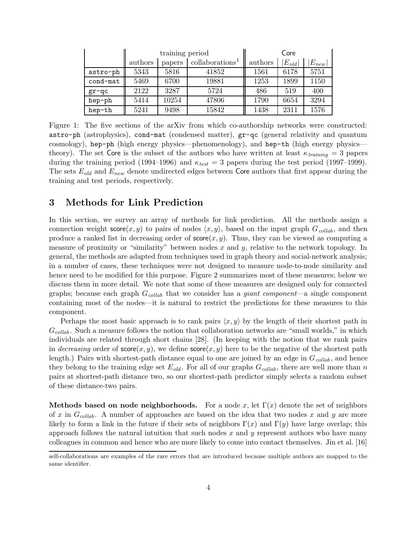|          |         | training period |                             | Core    |           |           |  |
|----------|---------|-----------------|-----------------------------|---------|-----------|-----------|--|
|          | authors | papers          | collaborations <sup>1</sup> | authors | $E_{old}$ | $E_{new}$ |  |
| astro-ph | 5343    | 5816            | 41852                       | 1561    | 6178      | 5751      |  |
| cond-mat | 5469    | 6700            | 19881                       | 1253    | 1899      | 1150      |  |
| gr-qc    | 2122    | 3287            | 5724                        | 486     | 519       | 400       |  |
| hep-ph   | 5414    | 10254           | 47806                       | 1790    | 6654      | 3294      |  |
| hep-th   | 5241    | 9498            | 15842                       | 1438    | 2311      | 1576      |  |

Figure 1: The five sections of the arXiv from which co-authorship networks were constructed: astro-ph (astrophysics), cond-mat (condensed matter), gr-qc (general relativity and quantum cosmology), hep-ph (high energy physics—phenomenology), and hep-th (high energy physics theory). The set Core is the subset of the authors who have written at least  $\kappa_{training} = 3$  papers during the training period (1994–1996) and  $\kappa_{test} = 3$  papers during the test period (1997–1999). The sets  $E_{old}$  and  $E_{new}$  denote undirected edges between Core authors that first appear during the training and test periods, respectively.

#### 3 Methods for Link Prediction

In this section, we survey an array of methods for link prediction. All the methods assign a connection weight score(x, y) to pairs of nodes  $\langle x, y \rangle$ , based on the input graph  $G_{\text{collab}}$ , and then produce a ranked list in decreasing order of  $score(x, y)$ . Thus, they can be viewed as computing a measure of proximity or "similarity" between nodes  $x$  and  $y$ , relative to the network topology. In general, the methods are adapted from techniques used in graph theory and social-network analysis; in a number of cases, these techniques were not designed to measure node-to-node similarity and hence need to be modified for this purpose. Figure 2 summarizes most of these measures; below we discuss them in more detail. We note that some of these measures are designed only for connected graphs; because each graph  $G_{\text{collab}}$  that we consider has a *giant component*—a single component containing most of the nodes—it is natural to restrict the predictions for these measures to this component.

Perhaps the most basic approach is to rank pairs  $\langle x, y \rangle$  by the length of their shortest path in  $G_{collab}$ . Such a measure follows the notion that collaboration networks are "small worlds," in which individuals are related through short chains [28]. (In keeping with the notion that we rank pairs in decreasing order of  $score(x, y)$ , we define  $score(x, y)$  here to be the negative of the shortest path length.) Pairs with shortest-path distance equal to one are joined by an edge in  $G_{\text{collab}}$ , and hence they belong to the training edge set  $E_{old}$ . For all of our graphs  $G_{collab}$ , there are well more than n pairs at shortest-path distance two, so our shortest-path predictor simply selects a random subset of these distance-two pairs.

Methods based on node neighborhoods. For a node x, let  $\Gamma(x)$  denote the set of neighbors of x in  $G_{collab}$ . A number of approaches are based on the idea that two nodes x and y are more likely to form a link in the future if their sets of neighbors  $\Gamma(x)$  and  $\Gamma(y)$  have large overlap; this approach follows the natural intuition that such nodes  $x$  and  $y$  represent authors who have many colleagues in common and hence who are more likely to come into contact themselves. Jin et al. [16]

self-collaborations are examples of the rare errors that are introduced because multiple authors are mapped to the same identifier.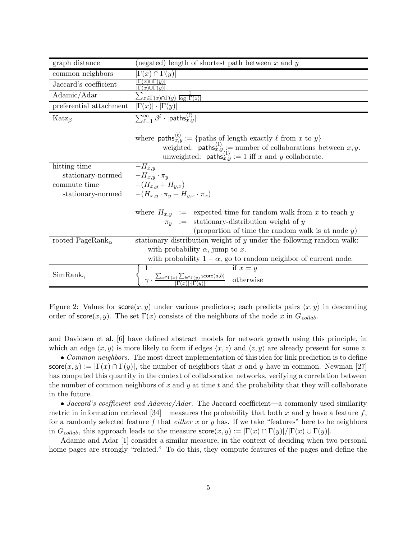| graph distance                                                         | negated) length of shortest path between $x$ and $y$                                                                                                                                                                                                                             |
|------------------------------------------------------------------------|----------------------------------------------------------------------------------------------------------------------------------------------------------------------------------------------------------------------------------------------------------------------------------|
| common neighbors                                                       | $\Gamma(x) \cap \Gamma(y)$                                                                                                                                                                                                                                                       |
| Jaccard's coefficient                                                  | $\frac{\Gamma(x)\cap\Gamma(y) }{\Gamma(x)\cup\Gamma(y) }$                                                                                                                                                                                                                        |
| $\text{Adamic}/\text{Adar}$                                            | $\sum_{z \in \Gamma(x) \cap \Gamma(y)} \overline{\log  \Gamma(z) }$                                                                                                                                                                                                              |
| preferential attachment                                                | $ \Gamma(x) \cdot  \Gamma(y) $                                                                                                                                                                                                                                                   |
| $\text{Katz}_{\beta}$                                                  | $\sum_{\ell=1}^{\infty} \beta^{\ell} \cdot  {\mathsf{paths}}_{x,y}^{(\ell)} $                                                                                                                                                                                                    |
|                                                                        | where $\mathsf{paths}_{x,y}^{(\ell)} := \{\text{paths of length exactly } \ell \text{ from } x \text{ to } y\}$<br>weighted: $\text{paths}_{x,y}^{(1)} :=$ number of collaborations between $x, y$ .<br>unweighted: $\text{paths}_{x,y}^{(1)} := 1$ iff $x$ and $y$ collaborate. |
| hitting time<br>stationary-normed<br>commute time<br>stationary-normed | $-H_{x,y}$<br>$-H_{x,y}\cdot \pi_y$<br>$-(H_{x,y} + H_{y,x})$<br>$-(H_{x,y}\cdot \pi_y+H_{y,x}\cdot \pi_x)$                                                                                                                                                                      |
|                                                                        | where $H_{x,y}$ := expected time for random walk from x to reach y<br>$\pi_y$ := stationary-distribution weight of y<br>(proportion of time the random walk is at node $y$ )                                                                                                     |
| rooted PageRank <sub><math>\alpha</math></sub>                         | stationary distribution weight of $y$ under the following random walk:                                                                                                                                                                                                           |
|                                                                        | with probability $\alpha$ , jump to x.                                                                                                                                                                                                                                           |
|                                                                        | with probability $1 - \alpha$ , go to random neighbor of current node.                                                                                                                                                                                                           |
| $SimRank_{\gamma}$                                                     | if $x=y$<br>$\gamma \cdot \frac{\sum_{a \in \Gamma(x)} \sum_{b \in \Gamma(y)} \text{score}(a, b)}{ \Gamma(x)  \cdot  \Gamma(y) }$ otherwise                                                                                                                                      |

Figure 2: Values for  $\mathsf{score}(x, y)$  under various predictors; each predicts pairs  $\langle x, y \rangle$  in descending order of score(x, y). The set  $\Gamma(x)$  consists of the neighbors of the node x in  $G_{\text{collab}}$ .

and Davidsen et al. [6] have defined abstract models for network growth using this principle, in which an edge  $\langle x, y \rangle$  is more likely to form if edges  $\langle x, z \rangle$  and  $\langle z, y \rangle$  are already present for some z.

• Common neighbors. The most direct implementation of this idea for link prediction is to define score $(x, y) := |\Gamma(x) \cap \Gamma(y)|$ , the number of neighbors that x and y have in common. Newman [27] has computed this quantity in the context of collaboration networks, verifying a correlation between the number of common neighbors of  $x$  and  $y$  at time  $t$  and the probability that they will collaborate in the future.

• Jaccard's coefficient and Adamic/Adar. The Jaccard coefficient—a commonly used similarity metric in information retrieval [34]—measures the probability that both x and y have a feature f, for a randomly selected feature f that either x or y has. If we take "features" here to be neighbors in  $G_{\text{collab}}$ , this approach leads to the measure  $\text{score}(x, y) := |\Gamma(x) \cap \Gamma(y)|/|\Gamma(x) \cup \Gamma(y)|$ .

Adamic and Adar [1] consider a similar measure, in the context of deciding when two personal home pages are strongly "related." To do this, they compute features of the pages and define the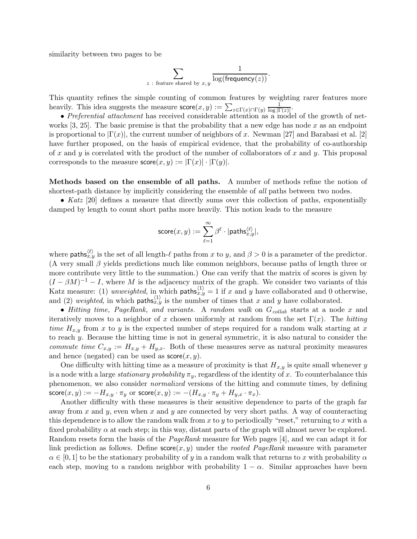similarity between two pages to be

$$
\sum_{z \text{ : feature shared by } x, y} \frac{1}{\log(\text{frequency}(z))}.
$$

This quantity refines the simple counting of common features by weighting rarer features more heavily. This idea suggests the measure  $score(x, y) := \sum_{z \in \Gamma(x) \cap \Gamma(y)} \frac{1}{\log|\Gamma(z)|}$  $\log |\Gamma(z)|$ .

• Preferential attachment has received considerable attention as a model of the growth of networks  $[3, 25]$ . The basic premise is that the probability that a new edge has node x as an endpoint is proportional to  $|\Gamma(x)|$ , the current number of neighbors of x. Newman [27] and Barabasi et al. [2] have further proposed, on the basis of empirical evidence, that the probability of co-authorship of x and y is correlated with the product of the number of collaborators of x and y. This proposal corresponds to the measure  $score(x, y) := |\Gamma(x)| \cdot |\Gamma(y)|$ .

Methods based on the ensemble of all paths. A number of methods refine the notion of shortest-path distance by implicitly considering the ensemble of *all* paths between two nodes.

• Katz  $[20]$  defines a measure that directly sums over this collection of paths, exponentially damped by length to count short paths more heavily. This notion leads to the measure

$$
\mathsf{score}(x,y) := \sum_{\ell=1}^\infty \beta^\ell \cdot |\mathsf{paths}_{x,y}^{\langle \ell \rangle}|,
$$

where paths $\zeta_{x,y}^{(\ell)}$  is the set of all length- $\ell$  paths from x to y, and  $\beta > 0$  is a parameter of the predictor. (A very small  $\beta$  yields predictions much like common neighbors, because paths of length three or more contribute very little to the summation.) One can verify that the matrix of scores is given by  $(I - \beta M)^{-1} - I$ , where M is the adjacency matrix of the graph. We consider two variants of this Katz measure: (1) unweighted, in which paths $x_i^{(1)} = 1$  if x and y have collaborated and 0 otherwise, and (2) weighted, in which paths $x_{x,y}^{(1)}$  is the number of times that x and y have collaborated.

• Hitting time, PageRank, and variants. A random walk on  $G_{\text{collab}}$  starts at a node x and iteratively moves to a neighbor of x chosen uniformly at random from the set  $\Gamma(x)$ . The hitting time  $H_{x,y}$  from x to y is the expected number of steps required for a random walk starting at x to reach y. Because the hitting time is not in general symmetric, it is also natural to consider the commute time  $C_{x,y} := H_{x,y} + H_{y,x}$ . Both of these measures serve as natural proximity measures and hence (negated) can be used as  $score(x, y)$ .

One difficulty with hitting time as a measure of proximity is that  $H_{x,y}$  is quite small whenever y is a node with a large *stationary probability*  $\pi_y$ , regardless of the identity of x. To counterbalance this phenomenon, we also consider normalized versions of the hitting and commute times, by defining  $\mathsf{score}(x, y) := -H_{x,y} \cdot \pi_y$  or  $\mathsf{score}(x, y) := -(H_{x,y} \cdot \pi_y + H_{y,x} \cdot \pi_x).$ 

Another difficulty with these measures is their sensitive dependence to parts of the graph far away from x and y, even when x and y are connected by very short paths. A way of counteracting this dependence is to allow the random walk from x to y to periodically "reset," returning to x with a fixed probability  $\alpha$  at each step; in this way, distant parts of the graph will almost never be explored. Random resets form the basis of the PageRank measure for Web pages [4], and we can adapt it for link prediction as follows. Define  $score(x, y)$  under the *rooted PageRank* measure with parameter  $\alpha \in [0,1]$  to be the stationary probability of y in a random walk that returns to x with probability  $\alpha$ each step, moving to a random neighbor with probability  $1 - \alpha$ . Similar approaches have been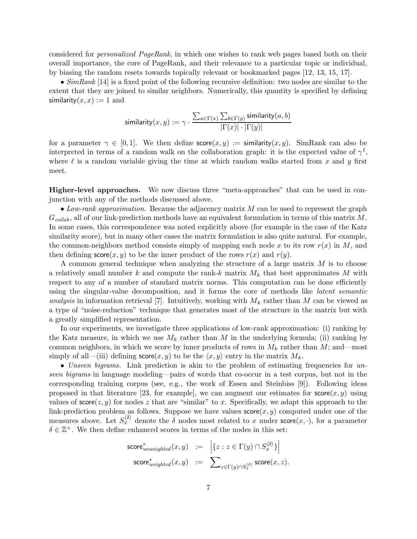considered for personalized PageRank, in which one wishes to rank web pages based both on their overall importance, the core of PageRank, and their relevance to a particular topic or individual, by biasing the random resets towards topically relevant or bookmarked pages [12, 13, 15, 17].

•  $SimRank [14]$  is a fixed point of the following recursive definition: two nodes are similar to the extent that they are joined to similar neighbors. Numerically, this quantity is specified by defining similarity $(x, x) := 1$  and

$$
\textsf{similarity}(x, y) := \gamma \cdot \frac{\sum_{a \in \Gamma(x)} \sum_{b \in \Gamma(y)} \textsf{similarity}(a, b)}{|\Gamma(x)| \cdot |\Gamma(y)|}
$$

for a parameter  $\gamma \in [0,1]$ . We then define  $\mathsf{score}(x, y) := \mathsf{similarity}(x, y)$ . SimRank can also be interpreted in terms of a random walk on the collaboration graph: it is the expected value of  $\gamma^{\ell}$ , where  $\ell$  is a random variable giving the time at which random walks started from x and y first meet.

Higher-level approaches. We now discuss three "meta-approaches" that can be used in conjunction with any of the methods discussed above.

• Low-rank approximation. Because the adjacency matrix  $M$  can be used to represent the graph  $G_{collab}$ , all of our link-prediction methods have an equivalent formulation in terms of this matrix M. In some cases, this correspondence was noted explicitly above (for example in the case of the Katz similarity score), but in many other cases the matrix formulation is also quite natural. For example, the common-neighbors method consists simply of mapping each node x to its row  $r(x)$  in M, and then defining  $score(x, y)$  to be the inner product of the rows  $r(x)$  and  $r(y)$ .

A common general technique when analyzing the structure of a large matrix M is to choose a relatively small number k and compute the rank-k matrix  $M_k$  that best approximates M with respect to any of a number of standard matrix norms. This computation can be done efficiently using the singular-value decomposition, and it forms the core of methods like latent semantic analysis in information retrieval [7]. Intuitively, working with  $M_k$  rather than M can be viewed as a type of "noise-reduction" technique that generates most of the structure in the matrix but with a greatly simplified representation.

In our experiments, we investigate three applications of low-rank approximation: (i) ranking by the Katz measure, in which we use  $M_k$  rather than M in the underlying formula; (ii) ranking by common neighbors, in which we score by inner products of rows in  $M_k$  rather than  $M$ ; and—most simply of all—(iii) defining  $score(x, y)$  to be the  $\langle x, y \rangle$  entry in the matrix  $M_k$ .

• Unseen bigrams. Link prediction is akin to the problem of estimating frequencies for unseen bigrams in language modeling—pairs of words that co-occur in a test corpus, but not in the corresponding training corpus (see, e.g., the work of Essen and Steinbiss [9]). Following ideas proposed in that literature [23, for example], we can augment our estimates for  $score(x, y)$  using values of score( $z, y$ ) for nodes z that are "similar" to x. Specifically, we adapt this approach to the link-prediction problem as follows. Suppose we have values  $score(x, y)$  computed under one of the measures above. Let  $S_x^{(\delta)}$  denote the  $\delta$  nodes most related to x under score $(x, \cdot)$ , for a parameter  $\delta \in \mathbb{Z}^+$ . We then define enhanced scores in terms of the nodes in this set:

$$
\begin{array}{rcl}\texttt{score}^*_{unweighted}(x,y) & := & \left| \{ z : z \in \Gamma(y) \cap S_x^{\langle \delta \rangle} \} \right| \\ \texttt{score}^*_{weighted}(x,y) & := & \sum\nolimits_{z \in \Gamma(y) \cap S_x^{\langle \delta \rangle}} \texttt{score}(x,z).\end{array}
$$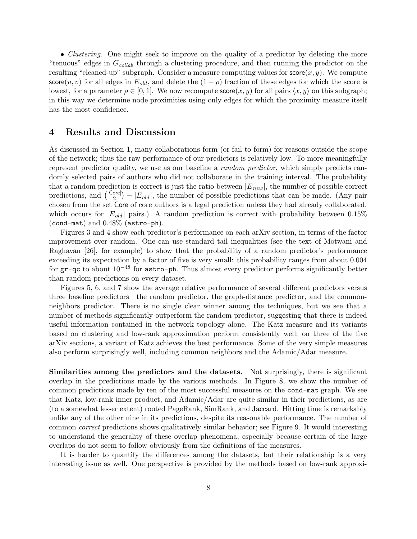• *Clustering.* One might seek to improve on the quality of a predictor by deleting the more "tenuous" edges in  $G_{collab}$  through a clustering procedure, and then running the predictor on the resulting "cleaned-up" subgraph. Consider a measure computing values for  $score(x, y)$ . We compute score(u, v) for all edges in  $E_{old}$ , and delete the  $(1 - \rho)$  fraction of these edges for which the score is lowest, for a parameter  $\rho \in [0, 1]$ . We now recompute score $(x, y)$  for all pairs  $\langle x, y \rangle$  on this subgraph; in this way we determine node proximities using only edges for which the proximity measure itself has the most confidence.

## 4 Results and Discussion

As discussed in Section 1, many collaborations form (or fail to form) for reasons outside the scope of the network; thus the raw performance of our predictors is relatively low. To more meaningfully represent predictor quality, we use as our baseline a random predictor, which simply predicts randomly selected pairs of authors who did not collaborate in the training interval. The probability that a random prediction is correct is just the ratio between  $|E_{new}|$ , the number of possible correct predictions, and  $\sqrt{\frac{|\text{Core}|}{2}}$  $\binom{1}{2} - |E_{old}|$ , the number of possible predictions that can be made. (Any pair chosen from the set Core of core authors is a legal prediction unless they had already collaborated, which occurs for  $|E_{old}|$  pairs.) A random prediction is correct with probability between 0.15% (cond-mat) and 0.48% (astro-ph).

Figures 3 and 4 show each predictor's performance on each arXiv section, in terms of the factor improvement over random. One can use standard tail inequalities (see the text of Motwani and Raghavan [26], for example) to show that the probability of a random predictor's performance exceeding its expectation by a factor of five is very small: this probability ranges from about 0.004 for  $gr-qc$  to about  $10^{-48}$  for astro-ph. Thus almost every predictor performs significantly better than random predictions on every dataset.

Figures 5, 6, and 7 show the average relative performance of several different predictors versus three baseline predictors—the random predictor, the graph-distance predictor, and the commonneighbors predictor. There is no single clear winner among the techniques, but we see that a number of methods significantly outperform the random predictor, suggesting that there is indeed useful information contained in the network topology alone. The Katz measure and its variants based on clustering and low-rank approximation perform consistently well; on three of the five arXiv sections, a variant of Katz achieves the best performance. Some of the very simple measures also perform surprisingly well, including common neighbors and the Adamic/Adar measure.

Similarities among the predictors and the datasets. Not surprisingly, there is significant overlap in the predictions made by the various methods. In Figure 8, we show the number of common predictions made by ten of the most successful measures on the cond-mat graph. We see that Katz, low-rank inner product, and Adamic/Adar are quite similar in their predictions, as are (to a somewhat lesser extent) rooted PageRank, SimRank, and Jaccard. Hitting time is remarkably unlike any of the other nine in its predictions, despite its reasonable performance. The number of common correct predictions shows qualitatively similar behavior; see Figure 9. It would interesting to understand the generality of these overlap phenomena, especially because certain of the large overlaps do not seem to follow obviously from the definitions of the measures.

It is harder to quantify the differences among the datasets, but their relationship is a very interesting issue as well. One perspective is provided by the methods based on low-rank approxi-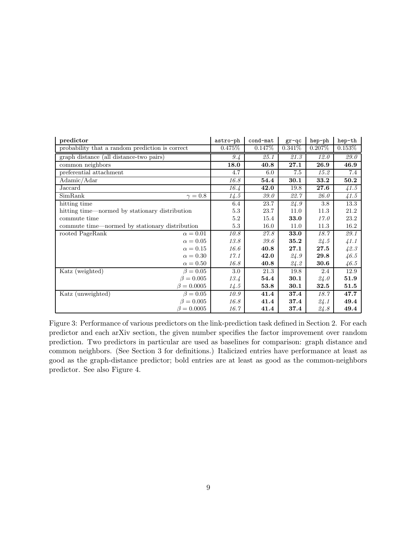| predictor                                       | astro-ph  | cond-mat    | $gr-qc$   | hep-ph    | hep-th    |
|-------------------------------------------------|-----------|-------------|-----------|-----------|-----------|
| probability that a random prediction is correct | $0.475\%$ | $0.147\%$   | $0.341\%$ | $0.207\%$ | $0.153\%$ |
| graph distance (all distance-two pairs)         | 9.4       | 25.1        | 21.3      | 12.0      | 29.0      |
| common neighbors                                | 18.0      | 40.8        | 27.1      | 26.9      | 46.9      |
| preferential attachment                         | 4.7       | 6.0         | 7.5       | 15.2      | 7.4       |
| Adamic/Adar                                     | 16.8      | 54.4        | 30.1      | 33.2      | 50.2      |
| Jaccard                                         | 16.4      | 42.0        | 19.8      | 27.6      | 41.5      |
| SimRank<br>$\gamma=0.8$                         | 14.5      | <i>39.0</i> | 22.7      | 26.0      | 41.5      |
| hitting time                                    | 6.4       | 23.7        | 24.9      | 3.8       | 13.3      |
| hitting time—normed by stationary distribution  | $5.3\,$   | 23.7        | 11.0      | 11.3      | 21.2      |
| commute time                                    | 5.2       | 15.4        | 33.0      | 17.0      | 23.2      |
| commute time—normed by stationary distribution  | 5.3       | 16.0        | 11.0      | 11.3      | 16.2      |
| rooted PageRank<br>$\alpha = 0.01$              | 10.8      | 27.8        | 33.0      | 18.7      | 29.1      |
| $\alpha = 0.05$                                 | 13.8      | 39.6        | 35.2      | 24.5      | 41.1      |
| $\alpha = 0.15$                                 | 16.6      | 40.8        | 27.1      | 27.5      | 42.3      |
| $\alpha = 0.30$                                 | 17.1      | 42.0        | 24.9      | 29.8      | 46.5      |
| $\alpha = 0.50$                                 | 16.8      | 40.8        | 24.2      | 30.6      | 46.5      |
| Katz (weighted)<br>$\beta = 0.05$               | 3.0       | 21.3        | 19.8      | 2.4       | 12.9      |
| $\beta = 0.005$                                 | 13.4      | 54.4        | 30.1      | 24.0      | 51.9      |
| $\beta = 0.0005$                                | 14.5      | 53.8        | 30.1      | 32.5      | 51.5      |
| Katz (unweighted)<br>$\beta = 0.05$             | 10.9      | 41.4        | 37.4      | 18.7      | 47.7      |
| $\beta = 0.005$                                 | 16.8      | 41.4        | 37.4      | 24.1      | 49.4      |
| $\beta = 0.0005$                                | 16.7      | 41.4        | 37.4      | 24.8      | 49.4      |

Figure 3: Performance of various predictors on the link-prediction task defined in Section 2. For each predictor and each arXiv section, the given number specifies the factor improvement over random prediction. Two predictors in particular are used as baselines for comparison: graph distance and common neighbors. (See Section 3 for definitions.) Italicized entries have performance at least as good as the graph-distance predictor; bold entries are at least as good as the common-neighbors predictor. See also Figure 4.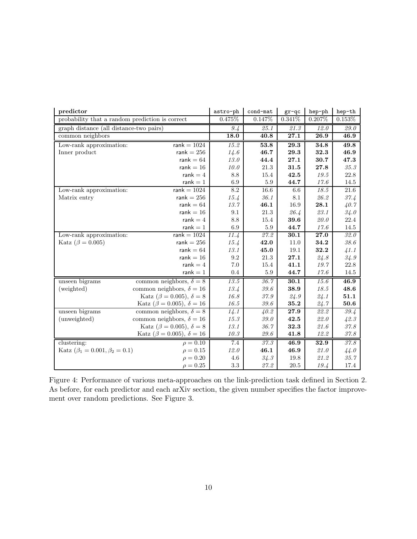| predictor                                       |                                         | astro-ph          | cond-mat | $gr-qc$           | hep-ph   | hep-th            |
|-------------------------------------------------|-----------------------------------------|-------------------|----------|-------------------|----------|-------------------|
| probability that a random prediction is correct |                                         | 0.475%            | 0.147%   | 0.341%            | 0.207%   | 0.153%            |
| graph distance (all distance-two pairs)         |                                         | 9.4               | 25.1     | 21.3              | 12.0     | 29.0              |
| common neighbors                                |                                         | $\overline{18.0}$ | 40.8     | $\overline{27.1}$ | 26.9     | 46.9              |
| Low-rank approximation:                         | $rank = 1024$                           | 15.2              | 53.8     | 29.3              | 34.8     | 49.8              |
| Inner product                                   | rank = $256$                            | 14.6              | 46.7     | 29.3              | 32.3     | 46.9              |
|                                                 | rank = $64$                             | 13.0              | 44.4     | 27.1              | 30.7     | 47.3              |
|                                                 | rank = $16$                             | 10.0              | 21.3     | 31.5              | 27.8     | 35.3              |
|                                                 | rank $= 4$                              | 8.8               | 15.4     | 42.5              | 19.5     | 22.8              |
|                                                 | rank $= 1$                              | 6.9               | $5.9\,$  | 44.7              | 17.6     | 14.5              |
| Low-rank approximation:                         | $rank = 1024$                           | 8.2               | 16.6     | 6.6               | 18.5     | 21.6              |
| Matrix entry                                    | rank = $256$                            | 15.4              | 36.1     | 8.1               | 26.2     | 37.4              |
|                                                 | rank = $64$                             | $13.7\,$          | 46.1     | 16.9              | 28.1     | 40.7              |
|                                                 | rank = $16$                             | 9.1               | 21.3     | 26.4              | 23.1     | 34.0              |
|                                                 | rank $= 4$                              | 8.8               | 15.4     | 39.6              | 20.0     | $22.4\,$          |
|                                                 | $rank = 1$                              | 6.9               | $5.9\,$  | 44.7              | 17.6     | 14.5              |
| Low-rank approximation:                         | rank = $1024$                           | 11.4              | 27.2     | 30.1              | 27.0     | 32.0              |
| Katz ( $\beta = 0.005$ )                        | rank = $256$                            | 15.4              | 42.0     | 11.0              | 34.2     | 38.6              |
|                                                 | rank = $64$                             | 13.1              | 45.0     | 19.1              | 32.2     | 41.1              |
|                                                 | rank = $16$                             | 9.2               | 21.3     | 27.1              | 24.8     | 34.9              |
|                                                 | rank $= 4$                              | 7.0               | 15.4     | 41.1              | 19.7     | 22.8              |
|                                                 | $rank = 1$                              | 0.4               | $5.9\,$  | 44.7              | 17.6     | 14.5              |
| unseen bigrams                                  | common neighbors, $\delta = 8$          | 13.5              | 36.7     | 30.1              | 15.6     | $\overline{46.9}$ |
| (weighted)                                      | common neighbors, $\delta = 16$         | 13.4              | 39.6     | 38.9              | $18.5\,$ | 48.6              |
|                                                 | Katz ( $\beta = 0.005$ ), $\delta = 8$  | $16.8\,$          | 37.9     | 24.9              | 24.1     | 51.1              |
|                                                 | Katz ( $\beta = 0.005$ ), $\delta = 16$ | $16.5\,$          | 39.6     | $\bf 35.2$        | 24.7     | 50.6              |
| unseen bigrams                                  | common neighbors, $\delta = 8$          | 14.1              | 40.2     | 27.9              | 22.2     | 39.4              |
| (unweighted)                                    | common neighbors, $\delta = 16$         | 15.3              | 39.0     | 42.5              | 22.0     | 42.3              |
|                                                 | Katz ( $\beta = 0.005$ ), $\delta = 8$  | 13.1              | 36.7     | 32.3              | 21.6     | 37.8              |
|                                                 | Katz ( $\beta = 0.005$ ), $\delta = 16$ | 10.3              | 29.6     | 41.8              | 12.2     | $\it 37.8$        |
| $\overline{\text{clustering}}$ :                | $\rho = 0.10$                           | 7.4               | 37.3     | 46.9              | 32.9     | 37.8              |
| Katz ( $\beta_1 = 0.001, \beta_2 = 0.1$ )       | $\rho = 0.15$                           | 12.0              | 46.1     | 46.9              | 21.0     | 44.0              |
|                                                 | $\rho = 0.20$                           | 4.6               | 34.3     | 19.8              | 21.2     | 35.7              |
|                                                 | $\rho = 0.25$                           | 3.3               | 27.2     | $20.5\,$          | 19.4     | 17.4              |

Figure 4: Performance of various meta-approaches on the link-prediction task defined in Section 2. As before, for each predictor and each arXiv section, the given number specifies the factor improvement over random predictions. See Figure 3.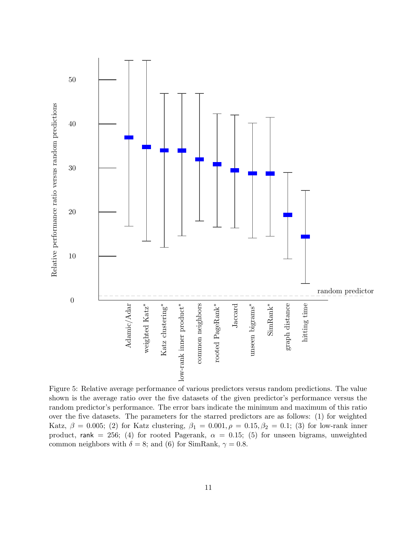

Figure 5: Relative average performance of various predictors versus random predictions. The value shown is the average ratio over the five datasets of the given predictor's performance versus the random predictor's performance. The error bars indicate the minimum and maximum of this ratio over the five datasets. The parameters for the starred predictors are as follows: (1) for weighted Katz,  $\beta = 0.005$ ; (2) for Katz clustering,  $\beta_1 = 0.001, \rho = 0.15, \beta_2 = 0.1$ ; (3) for low-rank inner product, rank = 256; (4) for rooted Pagerank,  $\alpha = 0.15$ ; (5) for unseen bigrams, unweighted common neighbors with  $\delta = 8$ ; and (6) for SimRank,  $\gamma = 0.8$ .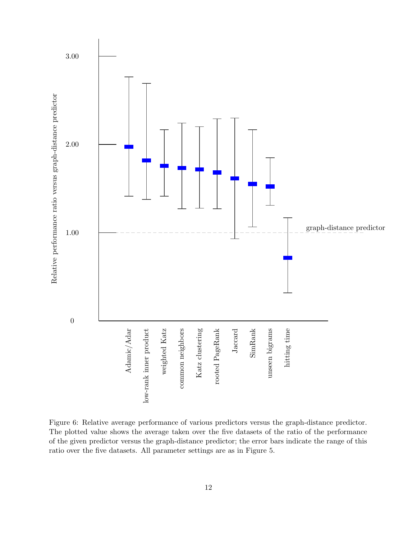

Figure 6: Relative average performance of various predictors versus the graph-distance predictor. The plotted value shows the average taken over the five datasets of the ratio of the performance of the given predictor versus the graph-distance predictor; the error bars indicate the range of this ratio over the five datasets. All parameter settings are as in Figure 5.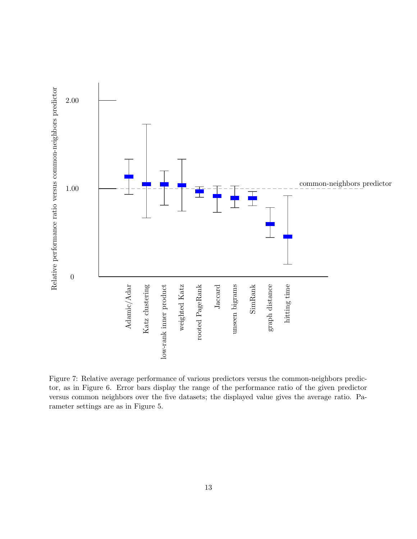

Figure 7: Relative average performance of various predictors versus the common-neighbors predictor, as in Figure 6. Error bars display the range of the performance ratio of the given predictor versus common neighbors over the five datasets; the displayed value gives the average ratio. Parameter settings are as in Figure 5.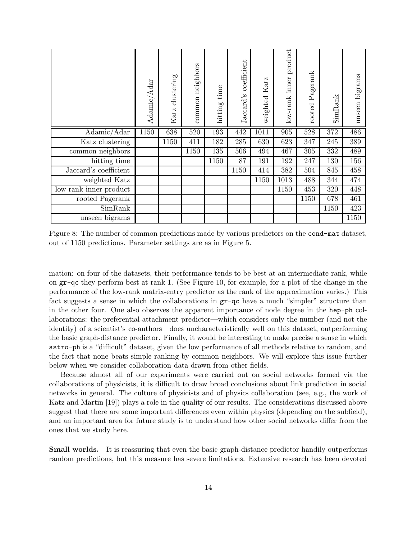|                        | $\rm{Adamic/Adar}$ | clustering<br>Katz | neighbors<br>common | time<br>hitting | coefficient<br>Jaccard's | Katz<br>weighted | product<br>low-rank inner | Pagerank<br>rooted | SimRank | bigrams<br>unseen |
|------------------------|--------------------|--------------------|---------------------|-----------------|--------------------------|------------------|---------------------------|--------------------|---------|-------------------|
| Adamic/Adar            | 1150               | 638                | 520                 | 193             | 442                      | 1011             | 905                       | 528                | 372     | 486               |
| Katz clustering        |                    | 1150               | 411                 | 182             | 285                      | 630              | 623                       | 347                | 245     | 389               |
| common neighbors       |                    |                    | 1150                | 135             | 506                      | 494              | 467                       | 305                | 332     | 489               |
| hitting time           |                    |                    |                     | 1150            | 87                       | 191              | 192                       | 247                | 130     | 156               |
| Jaccard's coefficient  |                    |                    |                     |                 | 1150                     | 414              | 382                       | 504                | 845     | 458               |
| weighted Katz          |                    |                    |                     |                 |                          | 1150             | 1013                      | 488                | 344     | 474               |
| low-rank inner product |                    |                    |                     |                 |                          |                  | 1150                      | 453                | 320     | 448               |
| rooted Pagerank        |                    |                    |                     |                 |                          |                  |                           | 1150               | 678     | 461               |
| SimRank                |                    |                    |                     |                 |                          |                  |                           |                    | 1150    | 423               |
| unseen bigrams         |                    |                    |                     |                 |                          |                  |                           |                    |         | 1150              |

Figure 8: The number of common predictions made by various predictors on the cond-mat dataset, out of 1150 predictions. Parameter settings are as in Figure 5.

mation: on four of the datasets, their performance tends to be best at an intermediate rank, while on gr-qc they perform best at rank 1. (See Figure 10, for example, for a plot of the change in the performance of the low-rank matrix-entry predictor as the rank of the approximation varies.) This fact suggests a sense in which the collaborations in gr-qc have a much "simpler" structure than in the other four. One also observes the apparent importance of node degree in the hep-ph collaborations: the preferential-attachment predictor—which considers only the number (and not the identity) of a scientist's co-authors—does uncharacteristically well on this dataset, outperforming the basic graph-distance predictor. Finally, it would be interesting to make precise a sense in which astro-ph is a "difficult" dataset, given the low performance of all methods relative to random, and the fact that none beats simple ranking by common neighbors. We will explore this issue further below when we consider collaboration data drawn from other fields.

Because almost all of our experiments were carried out on social networks formed via the collaborations of physicists, it is difficult to draw broad conclusions about link prediction in social networks in general. The culture of physicists and of physics collaboration (see, e.g., the work of Katz and Martin [19]) plays a role in the quality of our results. The considerations discussed above suggest that there are some important differences even within physics (depending on the subfield), and an important area for future study is to understand how other social networks differ from the ones that we study here.

Small worlds. It is reassuring that even the basic graph-distance predictor handily outperforms random predictions, but this measure has severe limitations. Extensive research has been devoted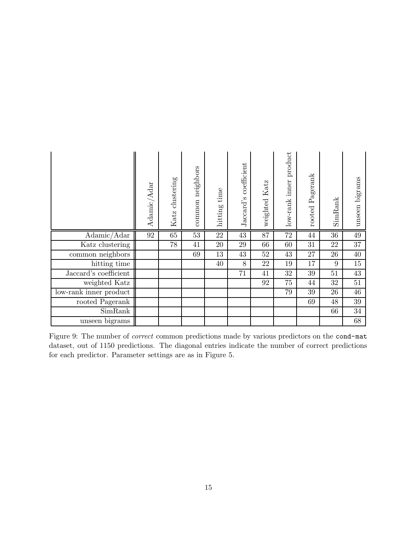|                                        | $\rm{Adamic/Adar}$ | clustering<br>$\rm Katz$ | neighbors<br>common | time<br>hitting | coefficient<br>Jaccard's | Katz<br>weighted | product<br>inner<br>low-rank | Pagerank<br>$_{\rm rooted}$ | SimRank | bigrams<br>unseen |
|----------------------------------------|--------------------|--------------------------|---------------------|-----------------|--------------------------|------------------|------------------------------|-----------------------------|---------|-------------------|
| $\overline{\text{Adamic}}/\text{Adar}$ | 92                 | 65                       | 53                  | 22              | 43                       | 87               | 72                           | 44                          | 36      | $49\,$            |
| Katz clustering                        |                    | 78                       | 41                  | 20              | 29                       | 66               | 60                           | $31\,$                      | 22      | 37                |
| common neighbors                       |                    |                          | 69                  | 13              | $43\,$                   | 52               | 43                           | $27\,$                      | 26      | $40\,$            |
| hitting time                           |                    |                          |                     | 40              | $8\,$                    | 22               | 19                           | 17                          | 9       | 15                |
| Jaccard's coefficient                  |                    |                          |                     |                 | 71                       | 41               | 32                           | $39\,$                      | 51      | $43\,$            |
| weighted Katz                          |                    |                          |                     |                 |                          | 92               | 75                           | 44                          | 32      | 51                |
| low-rank inner product                 |                    |                          |                     |                 |                          |                  | 79                           | 39                          | 26      | $46\,$            |
| rooted Pagerank                        |                    |                          |                     |                 |                          |                  |                              | 69                          | 48      | $39\,$            |
| SimRank                                |                    |                          |                     |                 |                          |                  |                              |                             | 66      | $34\,$            |
| unseen bigrams                         |                    |                          |                     |                 |                          |                  |                              |                             |         | 68                |

Figure 9: The number of correct common predictions made by various predictors on the cond-mat dataset, out of 1150 predictions. The diagonal entries indicate the number of correct predictions for each predictor. Parameter settings are as in Figure 5.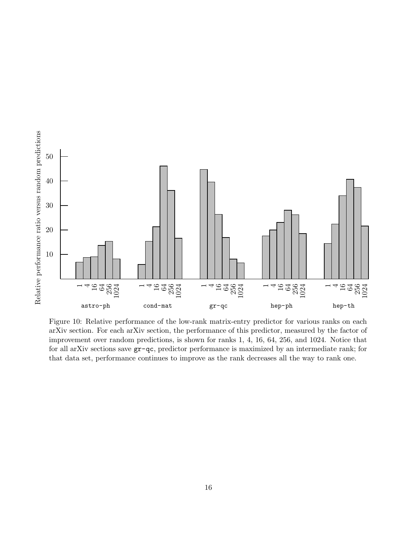

Figure 10: Relative performance of the low-rank matrix-entry predictor for various ranks on each arXiv section. For each arXiv section, the performance of this predictor, measured by the factor of improvement over random predictions, is shown for ranks 1, 4, 16, 64, 256, and 1024. Notice that for all arXiv sections save  $gr-qc$ , predictor performance is maximized by an intermediate rank; for that data set, performance continues to improve as the rank decreases all the way to rank one.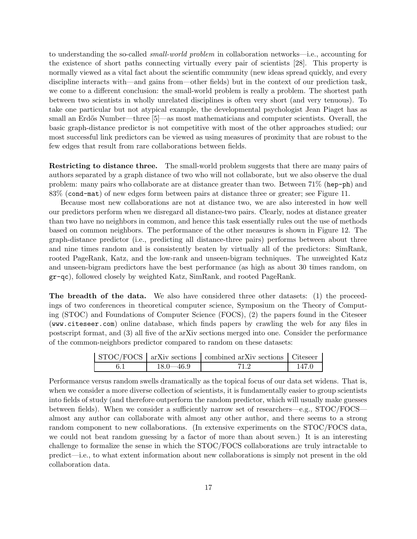to understanding the so-called small-world problem in collaboration networks—i.e., accounting for the existence of short paths connecting virtually every pair of scientists [28]. This property is normally viewed as a vital fact about the scientific community (new ideas spread quickly, and every discipline interacts with—and gains from—other fields) but in the context of our prediction task, we come to a different conclusion: the small-world problem is really a problem. The shortest path between two scientists in wholly unrelated disciplines is often very short (and very tenuous). To take one particular but not atypical example, the developmental psychologist Jean Piaget has as small an Erdős Number—three [5]—as most mathematicians and computer scientists. Overall, the basic graph-distance predictor is not competitive with most of the other approaches studied; our most successful link predictors can be viewed as using measures of proximity that are robust to the few edges that result from rare collaborations between fields.

Restricting to distance three. The small-world problem suggests that there are many pairs of authors separated by a graph distance of two who will not collaborate, but we also observe the dual problem: many pairs who collaborate are at distance greater than two. Between 71% (hep-ph) and 83% (cond-mat) of new edges form between pairs at distance three or greater; see Figure 11.

Because most new collaborations are not at distance two, we are also interested in how well our predictors perform when we disregard all distance-two pairs. Clearly, nodes at distance greater than two have no neighbors in common, and hence this task essentially rules out the use of methods based on common neighbors. The performance of the other measures is shown in Figure 12. The graph-distance predictor (i.e., predicting all distance-three pairs) performs between about three and nine times random and is consistently beaten by virtually all of the predictors: SimRank, rooted PageRank, Katz, and the low-rank and unseen-bigram techniques. The unweighted Katz and unseen-bigram predictors have the best performance (as high as about 30 times random, on gr-qc), followed closely by weighted Katz, SimRank, and rooted PageRank.

The breadth of the data. We also have considered three other datasets: (1) the proceedings of two conferences in theoretical computer science, Symposium on the Theory of Computing (STOC) and Foundations of Computer Science (FOCS), (2) the papers found in the Citeseer (www.citeseer.com) online database, which finds papers by crawling the web for any files in postscript format, and (3) all five of the arXiv sections merged into one. Consider the performance of the common-neighbors predictor compared to random on these datasets:

|  |               | STOC/FOCS arXiv sections combined arXiv sections Citeseer |       |
|--|---------------|-----------------------------------------------------------|-------|
|  | $18.0 - 46.9$ | 71.2                                                      | 147.0 |

Performance versus random swells dramatically as the topical focus of our data set widens. That is, when we consider a more diverse collection of scientists, it is fundamentally easier to group scientists into fields of study (and therefore outperform the random predictor, which will usually make guesses between fields). When we consider a sufficiently narrow set of researchers—e.g., STOC/FOCS almost any author can collaborate with almost any other author, and there seems to a strong random component to new collaborations. (In extensive experiments on the STOC/FOCS data, we could not beat random guessing by a factor of more than about seven.) It is an interesting challenge to formalize the sense in which the STOC/FOCS collaborations are truly intractable to predict—i.e., to what extent information about new collaborations is simply not present in the old collaboration data.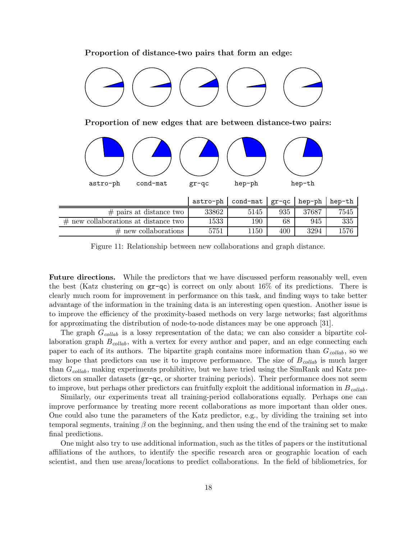#### Proportion of distance-two pairs that form an edge:



Proportion of new edges that are between distance-two pairs:

| cond-mat<br>astro-ph                   | $gr-qc$  | hep-ph   | hep-th  |        |        |
|----------------------------------------|----------|----------|---------|--------|--------|
|                                        | astro-ph | cond-mat | $gr-qc$ | hep-ph | hep-th |
| $#$ pairs at distance two              | 33862    | 5145     | 935     | 37687  | 7545   |
| $#$ new collaborations at distance two | 1533     | 190      | 68      | 945    | 335    |
| new collaborations<br>#                | 5751     | 1150     | 400     | 3294   | 1576   |

 $\equiv$ 

Figure 11: Relationship between new collaborations and graph distance.

Future directions. While the predictors that we have discussed perform reasonably well, even the best (Katz clustering on  $gr-qc$ ) is correct on only about 16% of its predictions. There is clearly much room for improvement in performance on this task, and finding ways to take better advantage of the information in the training data is an interesting open question. Another issue is to improve the efficiency of the proximity-based methods on very large networks; fast algorithms for approximating the distribution of node-to-node distances may be one approach [31].

The graph  $G_{\text{collab}}$  is a lossy representation of the data; we can also consider a bipartite collaboration graph  $B_{\text{collab}}$ , with a vertex for every author and paper, and an edge connecting each paper to each of its authors. The bipartite graph contains more information than  $G_{collab}$ , so we may hope that predictors can use it to improve performance. The size of  $B_{\text{collab}}$  is much larger than  $G_{collab}$ , making experiments prohibitive, but we have tried using the SimRank and Katz predictors on smaller datasets ( $gr-qc$ , or shorter training periods). Their performance does not seem to improve, but perhaps other predictors can fruitfully exploit the additional information in  $B_{\text{collab}}$ .

Similarly, our experiments treat all training-period collaborations equally. Perhaps one can improve performance by treating more recent collaborations as more important than older ones. One could also tune the parameters of the Katz predictor, e.g., by dividing the training set into temporal segments, training  $\beta$  on the beginning, and then using the end of the training set to make final predictions.

One might also try to use additional information, such as the titles of papers or the institutional affiliations of the authors, to identify the specific research area or geographic location of each scientist, and then use areas/locations to predict collaborations. In the field of bibliometrics, for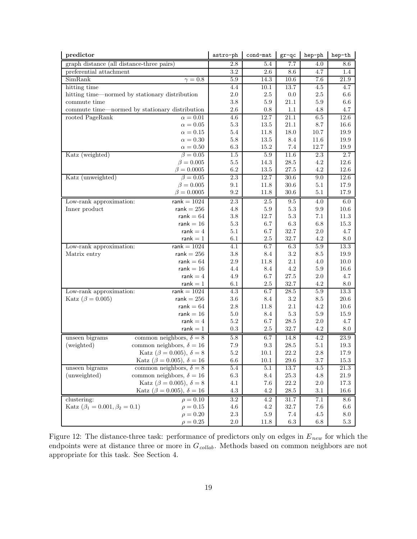| predictor                                                                                         | astro-ph       | cond-mat         | $gr-qc$          | hep-ph         | hep-th           |
|---------------------------------------------------------------------------------------------------|----------------|------------------|------------------|----------------|------------------|
| graph distance (all distance-three pairs)                                                         | 2.8            | 5.4              | 7.7              | 4.0            | 8.6              |
| preferential attachment                                                                           | $3.2\,$        | $2.6\,$          | 8.6              | 4.7            | 1.4              |
| SimRank<br>$\gamma=0.8$                                                                           | $5.9\,$        | 14.3             | $10.6\,$         | 7.6            | $21.9\,$         |
| hitting time                                                                                      | 4.4            | 10.1             | 13.7             | 4.5            | 4.7              |
| hitting time—normed by stationary distribution                                                    | $2.0\,$        | 2.5              | 0.0              | $2.5\,$        | $6.6\,$          |
| commute time                                                                                      | 3.8            | $5.9\,$          | 21.1             | $5.9\,$        | 6.6              |
| commute time—normed by stationary distribution                                                    | $2.6\,$        | 0.8              | 1.1              | 4.8            | 4.7              |
| rooted PageRank<br>$\alpha = 0.01$                                                                | 4.6            | 12.7             | 21.1             | 6.5            | $12.6\,$         |
| $\alpha = 0.05$                                                                                   | $5.3\,$        | $13.5\,$         | $21.1\,$         | 8.7            | $16.6\,$         |
| $\alpha = 0.15$                                                                                   | $5.4\,$        | 11.8             | $18.0\,$         | 10.7           | 19.9             |
| $\alpha=0.30$                                                                                     | $5.8\,$        | $13.5\,$         | 8.4              | 11.6           | $19.9\,$         |
| $\alpha = 0.50$                                                                                   | 6.3            | 15.2             | $7.4\,$          | 12.7           | 19.9             |
| $\beta = 0.05$<br>Katz (weighted)                                                                 | 1.5            | $5.9\,$          | 11.6             | 2.3            | 2.7              |
| $\beta = 0.005$                                                                                   | $5.5\,$        | 14.3             | $28.5\,$         | 4.2            | 12.6             |
| $\beta = 0.0005$                                                                                  | $6.2\,$        | $13.5\,$         | $27.5\,$         | $4.2\,$        | $12.6\,$         |
| Katz (unweighted)<br>$\beta = 0.05$                                                               | $2.3\,$        | 12.7             | $30.6\,$         | 9.0            | 12.6             |
| $\beta = 0.005$                                                                                   | 9.1            | 11.8             | $30.6\,$         | 5.1            | $17.9\,$         |
| $\beta = 0.0005$                                                                                  | $\rm 9.2$      | 11.8             | $30.6\,$         | 5.1            | 17.9             |
| Low-rank approximation:<br>rank = $1024$                                                          | $2.3\,$        | $2.5\,$          | 9.5              | 4.0            | 6.0              |
| rank = $256$<br>Inner product                                                                     | 4.8            | $5.9\,$          | $5.3\,$          | 9.9            | 10.6             |
| rank $=64$                                                                                        | $3.8\,$        | $12.7\,$         | $5.3\,$          | 7.1            | 11.3             |
| rank $= 16$                                                                                       | $5.3\,$        | 6.7              | 6.3              | 6.8            | $15.3\,$         |
| rank $= 4$                                                                                        | 5.1            | 6.7              | 32.7             | 2.0            | 4.7              |
| rank $= 1$                                                                                        | 6.1            | 2.5              | 32.7             | 4.2            | 8.0              |
| Low-rank approximation:<br>rank = $1024$                                                          | 4.1            | 6.7              | 6.3              | $5.9\,$        | 13.3             |
| rank = $256$<br>Matrix entry                                                                      | 3.8            | 8.4              | 3.2              | 8.5            | 19.9             |
| rank $=64$                                                                                        | $2.9\,$        | 11.8             | 2.1              | 4.0            | 10.0             |
| rank $= 16$                                                                                       | 4.4            | 8.4              | 4.2              | $5.9\,$        | 16.6             |
| rank $=4$                                                                                         | 4.9            | 6.7              | 27.5             | 2.0            | 4.7              |
| $rank = 1$                                                                                        | 6.1            | $2.5\,$          | $32.7\,$         | 4.2            | 8.0              |
| Low-rank approximation:<br>rank = $1024$                                                          | 4.3            | 6.7              | $28.5\,$         | $5.9\,$        | 13.3             |
| Katz ( $\beta = 0.005$ )<br>rank = $256$                                                          | 3.6            | 8.4              | 3.2<br>$2.1\,$   | 8.5            | $20.6\,$         |
| rank $= 64$<br>$\mathsf{rank} = 16$                                                               | $2.8\,$<br>5.0 | 11.8<br>8.4      | $5.3\,$          | 4.2<br>$5.9\,$ | $10.6\,$<br>15.9 |
| rank $= 4$                                                                                        | $5.2\,$        | 6.7              | 28.5             | 2.0            | 4.7              |
| rank $= 1$                                                                                        | $\rm 0.3$      | 2.5              | 32.7             | 4.2            | 8.0              |
|                                                                                                   |                |                  |                  |                |                  |
| unseen bigrams<br>common neighbors, $\delta = 8$<br>(weighted)<br>common neighbors, $\delta = 16$ | 5.8<br>$7.9\,$ | 6.7<br>$\rm 9.3$ | 14.8<br>$28.5\,$ | 4.2<br>5.1     | 23.9<br>$19.3\,$ |
| Katz ( $\beta = 0.005$ ), $\delta = 8$                                                            | $5.2\,$        | $10.1\,$         | 22.2             | $2.8\,$        | 17.9             |
| Katz ( $\beta = 0.005$ ), $\delta = 16$                                                           | $6.6\,$        | 10.1             | 29.6             | 3.7            | 15.3             |
| unseen bigrams<br>common neighbors, $\delta = 8$                                                  | $5.4\,$        | 5.1              | $13.7\,$         | 4.5            | 21.3             |
| (unweighted)<br>common neighbors, $\delta = 16$                                                   | 6.3            | 8.4              | 25.3             | 4.8            | 21.9             |
| Katz ( $\beta = 0.005$ ), $\delta = 8$                                                            | 4.1            | 7.6              | 22.2             | 2.0            | 17.3             |
| Katz ( $\beta = 0.005$ ), $\delta = 16$                                                           | $4.3\,$        | $4.2\,$          | $28.5\,$         | $3.1\,$        | 16.6             |
| clustering:                                                                                       | $3.2\,$        | 4.2              |                  | 7.1            |                  |
| $\rho = 0.10$<br>Katz $(\beta_1 = 0.001, \beta_2 = 0.1)$                                          | 4.6            | 4.2              | 31.7<br>$32.7\,$ | 7.6            | 8.6<br>6.6       |
| $\rho = 0.15$<br>$\rho = 0.20$                                                                    | 2.3            | 5.9              | 7.4              | 4.5            | 8.0              |
| $\rho = 0.25$                                                                                     | $2.0\,$        | 11.8             | 6.3              | $6.8\,$        | 5.3              |
|                                                                                                   |                |                  |                  |                |                  |

Figure 12: The distance-three task: performance of predictors only on edges in  $E_{new}$  for which the endpoints were at distance three or more in  $G_{collab}$ . Methods based on common neighbors are not appropriate for this task. See Section 4.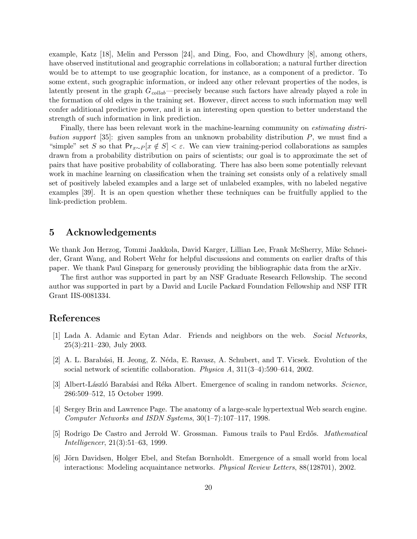example, Katz [18], Melin and Persson [24], and Ding, Foo, and Chowdhury [8], among others, have observed institutional and geographic correlations in collaboration; a natural further direction would be to attempt to use geographic location, for instance, as a component of a predictor. To some extent, such geographic information, or indeed any other relevant properties of the nodes, is latently present in the graph  $G_{collab}$ —precisely because such factors have already played a role in the formation of old edges in the training set. However, direct access to such information may well confer additional predictive power, and it is an interesting open question to better understand the strength of such information in link prediction.

Finally, there has been relevant work in the machine-learning community on *estimating distri*bution support [35]: given samples from an unknown probability distribution  $P$ , we must find a "simple" set S so that  $Pr_{x \sim P}[x \notin S] < \varepsilon$ . We can view training-period collaborations as samples drawn from a probability distribution on pairs of scientists; our goal is to approximate the set of pairs that have positive probability of collaborating. There has also been some potentially relevant work in machine learning on classification when the training set consists only of a relatively small set of positively labeled examples and a large set of unlabeled examples, with no labeled negative examples [39]. It is an open question whether these techniques can be fruitfully applied to the link-prediction problem.

## 5 Acknowledgements

We thank Jon Herzog, Tommi Jaakkola, David Karger, Lillian Lee, Frank McSherry, Mike Schneider, Grant Wang, and Robert Wehr for helpful discussions and comments on earlier drafts of this paper. We thank Paul Ginsparg for generously providing the bibliographic data from the arXiv.

The first author was supported in part by an NSF Graduate Research Fellowship. The second author was supported in part by a David and Lucile Packard Foundation Fellowship and NSF ITR Grant IIS-0081334.

#### References

- [1] Lada A. Adamic and Eytan Adar. Friends and neighbors on the web. Social Networks, 25(3):211–230, July 2003.
- [2] A. L. Barabási, H. Jeong, Z. Néda, E. Ravasz, A. Schubert, and T. Vicsek. Evolution of the social network of scientific collaboration. *Physica A*,  $311(3-4):590-614$ ,  $2002$ .
- [3] Albert-László Barabási and Réka Albert. Emergence of scaling in random networks. Science, 286:509–512, 15 October 1999.
- [4] Sergey Brin and Lawrence Page. The anatomy of a large-scale hypertextual Web search engine. Computer Networks and ISDN Systems, 30(1–7):107–117, 1998.
- [5] Rodrigo De Castro and Jerrold W. Grossman. Famous trails to Paul Erdős. Mathematical Intelligencer, 21(3):51–63, 1999.
- [6] Jörn Davidsen, Holger Ebel, and Stefan Bornholdt. Emergence of a small world from local interactions: Modeling acquaintance networks. Physical Review Letters, 88(128701), 2002.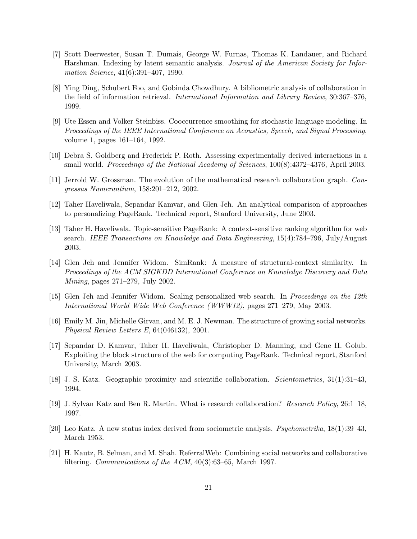- [7] Scott Deerwester, Susan T. Dumais, George W. Furnas, Thomas K. Landauer, and Richard Harshman. Indexing by latent semantic analysis. Journal of the American Society for Information Science, 41(6):391–407, 1990.
- [8] Ying Ding, Schubert Foo, and Gobinda Chowdhury. A bibliometric analysis of collaboration in the field of information retrieval. International Information and Library Review, 30:367–376, 1999.
- [9] Ute Essen and Volker Steinbiss. Cooccurrence smoothing for stochastic language modeling. In Proceedings of the IEEE International Conference on Acoustics, Speech, and Signal Processing, volume 1, pages 161–164, 1992.
- [10] Debra S. Goldberg and Frederick P. Roth. Assessing experimentally derived interactions in a small world. Proceedings of the National Academy of Sciences,  $100(8):4372-4376$ , April 2003.
- [11] Jerrold W. Grossman. The evolution of the mathematical research collaboration graph. Congressus Numerantium, 158:201–212, 2002.
- [12] Taher Haveliwala, Sepandar Kamvar, and Glen Jeh. An analytical comparison of approaches to personalizing PageRank. Technical report, Stanford University, June 2003.
- [13] Taher H. Haveliwala. Topic-sensitive PageRank: A context-sensitive ranking algorithm for web search. IEEE Transactions on Knowledge and Data Engineering, 15(4):784–796, July/August 2003.
- [14] Glen Jeh and Jennifer Widom. SimRank: A measure of structural-context similarity. In Proceedings of the ACM SIGKDD International Conference on Knowledge Discovery and Data Mining, pages 271–279, July 2002.
- [15] Glen Jeh and Jennifer Widom. Scaling personalized web search. In Proceedings on the 12th International World Wide Web Conference (WWW12), pages 271–279, May 2003.
- [16] Emily M. Jin, Michelle Girvan, and M. E. J. Newman. The structure of growing social networks. Physical Review Letters E, 64(046132), 2001.
- [17] Sepandar D. Kamvar, Taher H. Haveliwala, Christopher D. Manning, and Gene H. Golub. Exploiting the block structure of the web for computing PageRank. Technical report, Stanford University, March 2003.
- [18] J. S. Katz. Geographic proximity and scientific collaboration. Scientometrics, 31(1):31–43, 1994.
- [19] J. Sylvan Katz and Ben R. Martin. What is research collaboration? Research Policy, 26:1–18, 1997.
- [20] Leo Katz. A new status index derived from sociometric analysis. Psychometrika, 18(1):39–43, March 1953.
- [21] H. Kautz, B. Selman, and M. Shah. ReferralWeb: Combining social networks and collaborative filtering. Communications of the ACM, 40(3):63–65, March 1997.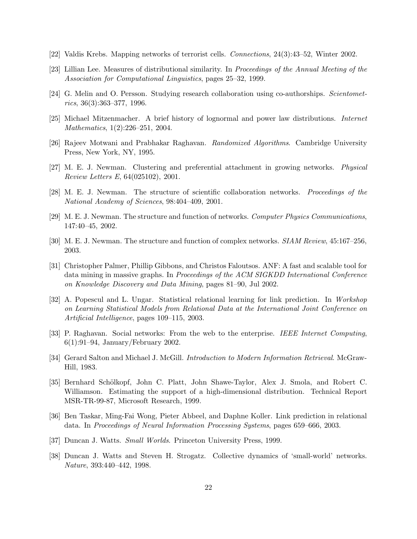- [22] Valdis Krebs. Mapping networks of terrorist cells. Connections, 24(3):43–52, Winter 2002.
- [23] Lillian Lee. Measures of distributional similarity. In Proceedings of the Annual Meeting of the Association for Computational Linguistics, pages 25–32, 1999.
- [24] G. Melin and O. Persson. Studying research collaboration using co-authorships. Scientomet $rics, 36(3):363-377, 1996.$
- [25] Michael Mitzenmacher. A brief history of lognormal and power law distributions. Internet Mathematics, 1(2):226–251, 2004.
- [26] Rajeev Motwani and Prabhakar Raghavan. Randomized Algorithms. Cambridge University Press, New York, NY, 1995.
- [27] M. E. J. Newman. Clustering and preferential attachment in growing networks. Physical Review Letters E, 64(025102), 2001.
- [28] M. E. J. Newman. The structure of scientific collaboration networks. Proceedings of the National Academy of Sciences, 98:404–409, 2001.
- [29] M. E. J. Newman. The structure and function of networks. Computer Physics Communications, 147:40–45, 2002.
- [30] M. E. J. Newman. The structure and function of complex networks. *SIAM Review*, 45:167-256, 2003.
- [31] Christopher Palmer, Phillip Gibbons, and Christos Faloutsos. ANF: A fast and scalable tool for data mining in massive graphs. In Proceedings of the ACM SIGKDD International Conference on Knowledge Discovery and Data Mining, pages 81–90, Jul 2002.
- [32] A. Popescul and L. Ungar. Statistical relational learning for link prediction. In Workshop on Learning Statistical Models from Relational Data at the International Joint Conference on Artificial Intelligence, pages 109–115, 2003.
- [33] P. Raghavan. Social networks: From the web to the enterprise. IEEE Internet Computing, 6(1):91–94, January/February 2002.
- [34] Gerard Salton and Michael J. McGill. Introduction to Modern Information Retrieval. McGraw-Hill, 1983.
- [35] Bernhard Schölkopf, John C. Platt, John Shawe-Taylor, Alex J. Smola, and Robert C. Williamson. Estimating the support of a high-dimensional distribution. Technical Report MSR-TR-99-87, Microsoft Research, 1999.
- [36] Ben Taskar, Ming-Fai Wong, Pieter Abbeel, and Daphne Koller. Link prediction in relational data. In Proceedings of Neural Information Processing Systems, pages 659–666, 2003.
- [37] Duncan J. Watts. *Small Worlds*. Princeton University Press, 1999.
- [38] Duncan J. Watts and Steven H. Strogatz. Collective dynamics of 'small-world' networks. Nature, 393:440–442, 1998.